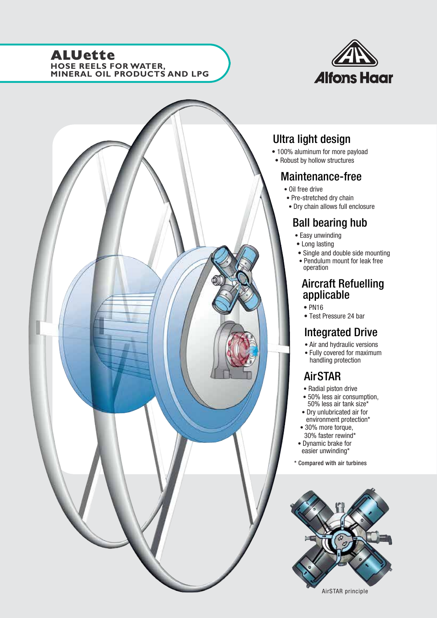## **ALUette HOSE REELS FOR WATER, MINERAL OIL PRODUCTS AND LPG**





# Ultra light design

- 100% aluminum for more payload
- Robust by hollow structures

## Maintenance-free

- Oil free drive
- Pre-stretched dry chain
- Dry chain allows full enclosure

# Ball bearing hub

- Easy unwinding
- Long lasting
- Single and double side mounting
- Pendulum mount for leak free operation

# Aircraft Refuelling applicable

- PN16
- Test Pressure 24 bar

# Integrated Drive

- Air and hydraulic versions
- Fully covered for maximum handling protection

# AirSTAR

- Radial piston drive
- 50% less air consumption, 50% less air tank size\*
- Dry unlubricated air for environment protection\*
- 30% more torque, 30% faster rewind\*
- Dynamic brake for
- easier unwinding\*
- \* Compared with air turbines